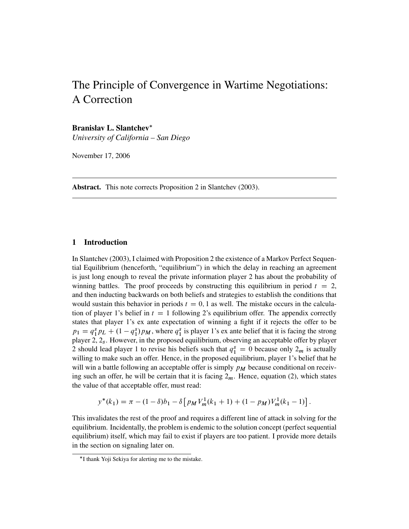# The Principle of Convergence in Wartime Negotiations: A Correction

### **Branislav L. Slantchev**-

*University of California – San Diego*

November 17, 2006

**Abstract.** This note corrects Proposition 2 in Slantchev (2003).

## **1 Introduction**

In Slantchev (2003), I claimed with Proposition 2 the existence of a Markov Perfect Sequential Equilibrium (henceforth, "equilibrium") in which the delay in reaching an agreement is just long enough to reveal the private information player 2 has about the probability of winning battles. The proof proceeds by constructing this equilibrium in period  $t = 2$ , and then inducting backwards on both beliefs and strategies to establish the conditions that would sustain this behavior in periods  $t = 0, 1$  as well. The mistake occurs in the calculation of player 1's belief in  $t = 1$  following 2's equilibrium offer. The appendix correctly states that player 1's ex ante expectation of winning a fight if it rejects the offer to be  $p_1 = q_1^s p_L + (1 - q_1^s) p_M$ , where  $q_1^s$  is player 1's ex ante belief that it is facing the strong player 2,  $2_s$ . However, in the proposed equilibrium, observing an acceptable offer by player 2 should lead player 1 to revise his beliefs such that  $q_1^s = 0$  because only  $2_m$  is actually willing to make such an offer. Hence, in the proposed equilibrium, player 1's belief that he will win a battle following an acceptable offer is simply  $p_M$  because conditional on receiving such an offer, he will be certain that it is facing  $2<sub>m</sub>$ . Hence, equation (2), which states the value of that acceptable offer, must read:

$$
y^*(k_1) = \pi - (1 - \delta)b_1 - \delta \left[ p_M V_m^1(k_1 + 1) + (1 - p_M) V_m^1(k_1 - 1) \right].
$$

This invalidates the rest of the proof and requires a different line of attack in solving for the equilibrium. Incidentally, the problem is endemic to the solution concept (perfect sequential equilibrium) itself, which may fail to exist if players are too patient. I provide more details in the section on signaling later on.

<sup>-</sup>I thank Yoji Sekiya for alerting me to the mistake.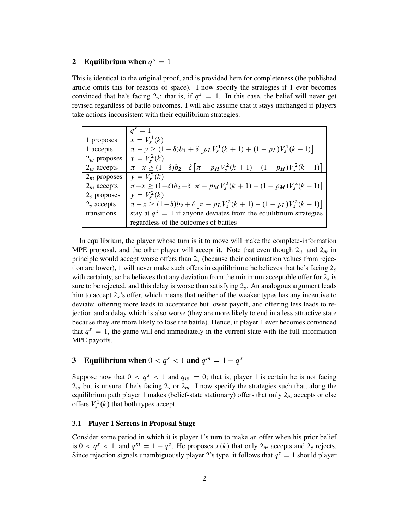#### **2** Equilibrium when  $q^s = 1$

This is identical to the original proof, and is provided here for completeness (the published article omits this for reasons of space). I now specify the strategies if 1 ever becomes convinced that he's facing  $2<sub>s</sub>$ ; that is, if  $q<sup>s</sup> = 1$ . In this case, the belief will never get revised regardless of battle outcomes. I will also assume that it stays unchanged if players take actions inconsistent with their equilibrium strategies.

|                | $q^s=1$                                                                                            |
|----------------|----------------------------------------------------------------------------------------------------|
| 1 proposes     | $x = V_s^1(k)$                                                                                     |
| 1 accepts      | $\pi - y \ge (1 - \delta)b_1 + \delta \left[ p_L V_s^1(k+1) + (1 - p_L) V_s^1(k-1) \right]$        |
| $2_w$ proposes | $y = V_s^2(k)$                                                                                     |
| $2_w$ accepts  | $\pi - x \ge (1 - \delta)b_2 + \delta \left[ \pi - p_H V_s^2(k+1) - (1 - p_H) V_s^2(k-1) \right]$  |
| $2m$ proposes  | $v = V_s^2(k)$                                                                                     |
| $2m$ accepts   | $\pi - x \ge (1 - \delta)b_2 + \delta \left[ \pi - p_M V_s^2(k+1) - (1 - p_M) V_s^2(k-1) \right]$  |
| $2s$ proposes  | $y = V_s^2(k)$                                                                                     |
| $2s$ accepts   | $\pi - x \geq (1 - \delta)b_2 + \delta \left[ \pi - p_L V_s^2(k+1) - (1 - p_L) V_s^2(k-1) \right]$ |
| transitions    | stay at $q^s = 1$ if anyone deviates from the equilibrium strategies                               |
|                | regardless of the outcomes of battles                                                              |

In equilibrium, the player whose turn is it to move will make the complete-information MPE proposal, and the other player will accept it. Note that even though  $2_w$  and  $2_m$  in principle would accept worse offers than  $2<sub>s</sub>$  (because their continuation values from rejection are lower), 1 will never make such offers in equilibrium: he believes that he's facing  $2<sub>s</sub>$ with certainty, so he believes that any deviation from the minimum acceptable offer for  $2<sub>s</sub>$  is sure to be rejected, and this delay is worse than satisfying  $2<sub>s</sub>$ . An analogous argument leads him to accept  $2<sub>s</sub>$ 's offer, which means that neither of the weaker types has any incentive to deviate: offering more leads to acceptance but lower payoff, and offering less leads to rejection and a delay which is also worse (they are more likely to end in a less attractive state because they are more likely to lose the battle). Hence, if player 1 ever becomes convinced that  $q<sup>s</sup> = 1$ , the game will end immediately in the current state with the full-information MPE payoffs.

# **3** Equilibrium when  $0 < q^s < 1$  and  $q^m = 1 - q^s$

Suppose now that  $0 < q<sup>s</sup> < 1$  and  $q<sub>w</sub> = 0$ ; that is, player 1 is certain he is not facing  $2<sub>w</sub>$  but is unsure if he's facing  $2<sub>s</sub>$  or  $2<sub>m</sub>$ . I now specify the strategies such that, along the equilibrium path player 1 makes (belief-state stationary) offers that only  $2<sub>m</sub>$  accepts or else offers  $V_s^1(k)$  that both types accept.

#### **3.1 Player 1 Screens in Proposal Stage**

Consider some period in which it is player 1's turn to make an offer when his prior belief is  $0 < q^s < 1$ , and  $q^m = 1 - q^s$ . He proposes  $x(k)$  that only  $2_m$  accepts and  $2_s$  rejects. Since rejection signals unambiguously player 2's type, it follows that  $q<sup>s</sup> = 1$  should player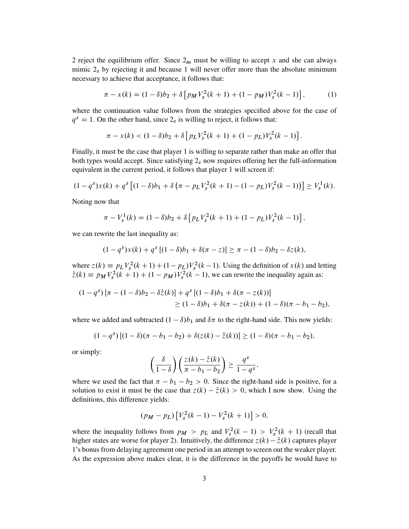2 reject the equilibrium offer. Since  $2<sub>m</sub>$  must be willing to accept x and she can always mimic  $2<sub>s</sub>$  by rejecting it and because 1 will never offer more than the absolute minimum necessary to achieve that acceptance, it follows that:

$$
\pi - x(k) = (1 - \delta)b_2 + \delta \left[ p_M V_s^2(k+1) + (1 - p_M) V_s^2(k-1) \right],\tag{1}
$$

:

where the continuation value follows from the strategies specified above for the case of  $q<sup>s</sup> = 1$ . On the other hand, since  $2<sub>s</sub>$  is willing to reject, it follows that:

$$
\pi - x(k) < (1 - \delta)b_2 + \delta \left[ p_L V_s^2(k+1) + (1 - p_L) V_s^2(k-1) \right]
$$

Finally, it must be the case that player 1 is willing to separate rather than make an offer that both types would accept. Since satisfying  $2<sub>s</sub>$  now requires offering her the full-information equivalent in the current period, it follows that player 1 will screen if:

$$
(1-qs)x(k) + qs [(1-\delta)b1 + \delta (\pi - pLVs2(k+1) - (1-pL)Vs2(k-1))] \ge Vs1(k).
$$

Noting now that

$$
\pi - V_s^1(k) = (1 - \delta)b_2 + \delta \left[ p_L V_s^2(k+1) + (1 - p_L) V_s^2(k-1) \right],
$$

we can rewrite the last inequality as:

$$
(1 - qs)x(k) + qs [(1 - \delta)b1 + \delta(\pi - z)] \ge \pi - (1 - \delta)b2 - \delta z(k),
$$

where  $z(k) = p_L V_s^2(k+1) + (1 - p_L) V_s^2(k-1)$ . Using the definition of  $x(k)$  and letting  $\hat{z}(k) = p_M V_s^2(k+1) + (1 - p_M) V_s^2(k-1)$ , we can rewrite the inequality again as:

$$
(1-qs) [\pi - (1-\delta)b2 - \delta \hat{z}(k)] + qs [(1-\delta)b1 + \delta(\pi - z(k))]
$$
  
\n
$$
\geq (1-\delta)b1 + \delta(\pi - z(k)) + (1-\delta)(\pi - b1 - b2),
$$

where we added and subtracted  $(1 - \delta)b_1$  and  $\delta\pi$  to the right-hand side. This now yields:

$$
(1-qs) [(1-\delta)(\pi - b_1 - b_2) + \delta(z(k) - \hat{z}(k))] \ge (1-\delta)(\pi - b_1 - b_2),
$$

or simply:

$$
\left(\frac{\delta}{1-\delta}\right)\left(\frac{z(k)-\hat{z}(k)}{\pi-b_1-b_2}\right) \geq \frac{q^s}{1-q^s},
$$

where we used the fact that  $\pi - b_1 - b_2 > 0$ . Since the right-hand side is positive, for a solution to exist it must be the case that  $z(k) - \hat{z}(k) > 0$ , which I now show. Using the definitions, this difference yields:

$$
(p_M - p_L) [V_s^2(k-1) - V_s^2(k+1)] > 0,
$$

where the inequality follows from  $p_M > p_L$  and  $V_s^2(k-1) > V_s^2(k+1)$  (recall that higher states are worse for player 2). Intuitively, the difference  $z(k) - \hat{z}(k)$  captures player 1's bonus from delaying agreement one period in an attempt to screen out the weaker player. As the expression above makes clear, it is the difference in the payoffs he would have to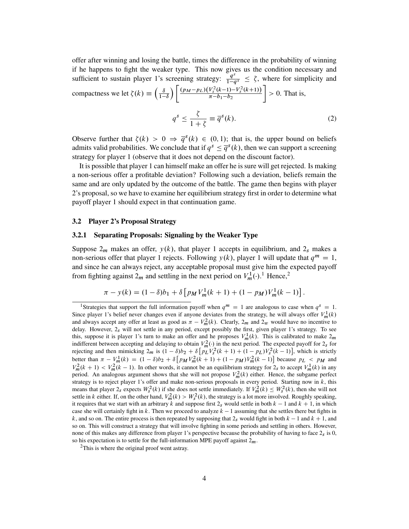offer after winning and losing the battle, times the difference in the probability of winning if he happens to fight the weaker type. This now gives us the condition necessary and sufficient to sustain player 1's screening strategy:  $\frac{q^s}{1-q^s} \leq \zeta$ , where for simplicity and compactness we let  $\zeta(k) \equiv \left(\frac{\delta}{1-k}\right)$  $\overline{1-\delta}$  $\bigg) \left[ \frac{(p_M-p_L)(V_s^2(k-1)-V_s^2(k+1))}{\pi-b_1-b_2} \right.$  $\Big] > 0$ . That is,

$$
q^s \le \frac{\zeta}{1+\zeta} \equiv \overline{q}^s(k). \tag{2}
$$

Observe further that  $\zeta(k) > 0 \Rightarrow \overline{q}^s(k) \in (0,1)$ ; that is, the upper bound on beliefs admits valid probabilities. We conclude that if  $q<sup>s</sup> \leq \overline{q}<sup>s</sup>(k)$ , then we can support a screening strategy for player 1 (observe that it does not depend on the discount factor).

It is possible that player 1 can himself make an offer he is sure will get rejected. Is making a non-serious offer a profitable deviation? Following such a deviation, beliefs remain the same and are only updated by the outcome of the battle. The game then begins with player 2's proposal, so we have to examine her equilibrium strategy first in order to determine what payoff player 1 should expect in that continuation game.

#### **3.2 Player 2's Proposal Strategy**

#### **3.2.1 Separating Proposals: Signaling by the Weaker Type**

Suppose  $2_m$  makes an offer,  $y(k)$ , that player 1 accepts in equilibrium, and  $2_s$  makes a non-serious offer that player 1 rejects. Following  $y(k)$ , player 1 will update that  $q^m = 1$ , and since he can always reject, any acceptable proposal must give him the expected payoff from fighting against  $2_m$  and settling in the next period on  $V_m^1(\cdot)$ .<sup>1</sup> Hence,<sup>2</sup>

$$
\pi - y(k) = (1 - \delta)b_1 + \delta \left[ p_M V_m^1(k+1) + (1 - p_M) V_m^1(k-1) \right].
$$

<sup>&</sup>lt;sup>1</sup>Strategies that support the full information payoff when  $q^m = 1$  are analogous to case when  $q^s = 1$ . Since player 1's belief never changes even if anyone deviates from the strategy, he will always offer  $V_m^1(k)$ and always accept any offer at least as good as  $\pi - V_m^2(k)$ . Clearly,  $2_m$  and  $2_w$  would have no incentive to delay. However, 2s will not settle in any period, except possibly the first, given player 1's strategy. To see this, suppose it is player 1's turn to make an offer and he proposes  $V_m^1(k)$ . This is calibrated to make  $2_m$ indifferent between accepting and delaying to obtain  $V_m^2(\cdot)$  in the next period. The expected payoff for  $2_s$  for rejecting and then mimicking  $2_m$  is  $(1 - \delta)b_2 + \delta \left[ p_L V_s^2 (k+1) + (1 - p_L) V_s^2 (k-1) \right]$ , which is strictly better than  $\pi - V_m^1(k) = (1 - \delta)b_2 + \delta [p_M V_m^2(k+1) + (1 - p_M) V_m^2(k-1)]$  because  $p_L < p_M$  and  $V_m^2(k + 1) < V_m^2(k - 1)$ . In other words, it cannot be an equilibrium strategy for  $2_s$  to accept  $V_m^1(k)$  in any period. An analogous argument shows that she will not propose  $V_m^2(k)$  either. Hence, the subgame perfect strategy is to reject player 1's offer and make non-serious proposals in every period. Starting now in k, this means that player  $2_s$  expects  $W_s^2(k)$  if she does not settle immediately. If  $V_m^2(k) \leq W_s^2(k)$ , then she will not settle in k either. If, on the other hand,  $V_m^2(k) > W_s^2(k)$ , the strategy is a lot more involved. Roughly speaking, it requires that we start with an arbitrary k and suppose first  $2<sub>s</sub>$  would settle in both  $k-1$  and  $k+1$ , in which case she will certainly fight in  $k$ . Then we proceed to analyze  $k - 1$  assuming that she settles there but fights in k, and so on. The entire process is then repeated by supposing that  $2<sub>s</sub>$  would fight in both  $k-1$  and  $k+1$ , and so on. This will construct a strategy that will involve fighting in some periods and settling in others. However, none of this makes any difference from player 1's perspective because the probability of having to face  $2<sub>s</sub>$  is 0, so his expectation is to settle for the full-information MPE payoff against  $2<sub>m</sub>$ .

 $2$ This is where the original proof went astray.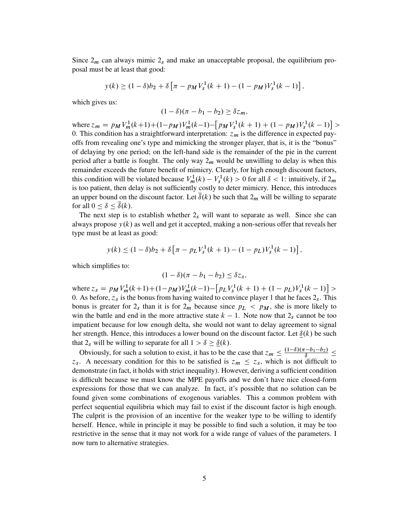Since  $2<sub>m</sub>$  can always mimic  $2<sub>s</sub>$  and make an unacceptable proposal, the equilibrium proposal must be at least that good:

$$
y(k) \ge (1 - \delta)b_2 + \delta \left[ \pi - p_M V_s^1(k+1) - (1 - p_M) V_s^1(k-1) \right],
$$

which gives us:

$$
(1-\delta)(\pi-b_1-b_2)\geq \delta z_m,
$$

where  $z_m = p_M V_m^1(k+1) + (1-p_M) V_m^1(k-1) - [p_M V_s^1(k+1) + (1-p_M) V_s^1(k-1)] >$ 0. This condition has a straightforward interpretation:  $z_m$  is the difference in expected payoffs from revealing one's type and mimicking the stronger player, that is, it is the "bonus" of delaying by one period; on the left-hand side is the remainder of the pie in the current period after a battle is fought. The only way  $2<sub>m</sub>$  would be unwilling to delay is when this remainder exceeds the future benefit of mimicry. Clearly, for high enough discount factors, this condition will be violated because  $V_m^1(k) - V_s^1(k) > 0$  for all  $\delta < 1$ : intuitively, if  $2_m$ is too patient, then delay is not sufficiently costly to deter mimicry. Hence, this introduces an upper bound on the discount factor. Let  $\delta(k)$  be such that  $2<sub>m</sub>$  will be willing to separate for all  $0 \leq \delta \leq \delta(k)$ .

The next step is to establish whether  $2<sub>s</sub>$  will want to separate as well. Since she can always propose  $y(k)$  as well and get it accepted, making a non-serious offer that reveals her type must be at least as good:

$$
y(k) \le (1 - \delta)b_2 + \delta \left[ \pi - p_L V_s^1(k+1) - (1 - p_L) V_s^1(k-1) \right],
$$

which simplifies to:

$$
(1-\delta)(\pi-b_1-b_2)\leq \delta z_s,
$$

where  $z_s = p_M V_m^1(k+1) + (1 - p_M) V_m^1(k-1) - \left[ p_L V_s^1(k+1) + (1 - p_L) V_s^1(k-1) \right] >$ 0. As before,  $z_s$  is the bonus from having waited to convince player 1 that he faces  $2_s$ . This bonus is greater for  $2_s$  than it is for  $2_m$  because since  $p_L < p_M$ , she is more likely to win the battle and end in the more attractive state  $k - 1$ . Note now that  $2<sub>s</sub>$  cannot be too impatient because for low enough delta, she would not want to delay agreement to signal her strength. Hence, this introduces a lower bound on the discount factor. Let  $\delta(k)$  be such that  $2_s$  will be willing to separate for all  $1 > \delta \geq \underline{\delta}(k)$ .

Obviously, for such a solution to exist, it has to be the case that  $z_m \leq \frac{(1-\delta)(\pi - b_1 - b_2)}{\delta} \leq$  $z_s$ . A necessary condition for this to be satisfied is  $z_m \le z_s$ , which is not difficult to demonstrate (in fact, it holds with strict inequality). However, deriving a sufficient condition is difficult because we must know the MPE payoffs and we don't have nice closed-form expressions for those that we can analyze. In fact, it's possible that no solution can be found given some combinations of exogenous variables. This a common problem with perfect sequential equilibria which may fail to exist if the discount factor is high enough. The culprit is the provision of an incentive for the weaker type to be willing to identify herself. Hence, while in principle it may be possible to find such a solution, it may be too restrictive in the sense that it may not work for a wide range of values of the parameters. I now turn to alternative strategies.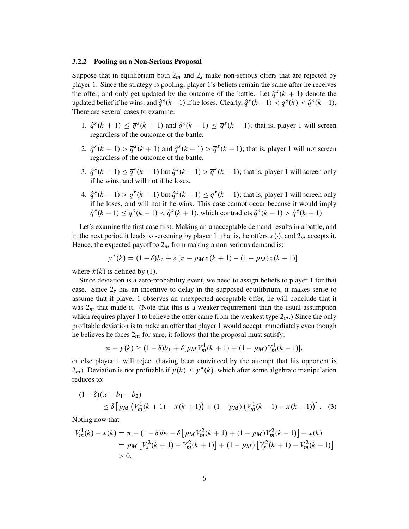#### **3.2.2 Pooling on a Non-Serious Proposal**

Suppose that in equilibrium both  $2_m$  and  $2_s$  make non-serious offers that are rejected by player 1. Since the strategy is pooling, player 1's beliefs remain the same after he receives the offer, and only get updated by the outcome of the battle. Let  $\hat{q}^s(k + 1)$  denote the updated belief if he wins, and  $\hat{q}^s(k-1)$  if he loses. Clearly,  $\hat{q}^s(k+1) < q^s(k) < \hat{q}^s(k-1)$ . There are several cases to examine:

- 1.  $\hat{q}^s(k + 1) \leq \overline{q}^s(k + 1)$  and  $\hat{q}^s(k 1) \leq \overline{q}^s(k 1)$ ; that is, player 1 will screen regardless of the outcome of the battle.
- 2.  $\hat{q}^s(k+1) > \overline{q}^s(k+1)$  and  $\hat{q}^s(k-1) > \overline{q}^s(k-1)$ ; that is, player 1 will not screen regardless of the outcome of the battle.
- 3.  $\hat{q}^s(k+1) \leq \overline{q}^s(k+1)$  but  $\hat{q}^s(k-1) > \overline{q}^s(k-1)$ ; that is, player 1 will screen only if he wins, and will not if he loses.
- 4.  $\hat{q}^s(k+1) > \overline{q}^s(k+1)$  but  $\hat{q}^s(k-1) \leq \overline{q}^s(k-1)$ ; that is, player 1 will screen only if he loses, and will not if he wins. This case cannot occur because it would imply  $\hat{q}^{s}(k-1) \leq \overline{q}^{s}(k-1) < \hat{q}^{s}(k+1)$ , which contradicts  $\hat{q}^{s}(k-1) > \hat{q}^{s}(k+1)$ .

Let's examine the first case first. Making an unacceptable demand results in a battle, and in the next period it leads to screening by player 1: that is, he offers  $x(\cdot)$ , and  $2_m$  accepts it. Hence, the expected payoff to  $2<sub>m</sub>$  from making a non-serious demand is:

$$
y^*(k) = (1 - \delta)b_2 + \delta[\pi - p_Mx(k+1) - (1 - p_M)x(k-1)],
$$

where  $x(k)$  is defined by (1).

Since deviation is a zero-probability event, we need to assign beliefs to player 1 for that case. Since  $2<sub>s</sub>$  has an incentive to delay in the supposed equilibrium, it makes sense to assume that if player 1 observes an unexpected acceptable offer, he will conclude that it was  $2<sub>m</sub>$  that made it. (Note that this is a weaker requirement than the usual assumption which requires player 1 to believe the offer came from the weakest type  $2<sub>w</sub>$ .) Since the only profitable deviation is to make an offer that player 1 would accept immediately even though he believes he faces  $2<sub>m</sub>$  for sure, it follows that the proposal must satisfy:

$$
\pi - y(k) \ge (1 - \delta)b_1 + \delta[p_M V_m^1(k+1) + (1 - p_M)V_m^1(k-1)],
$$

or else player 1 will reject (having been convinced by the attempt that his opponent is  $2<sub>m</sub>$ ). Deviation is not profitable if  $y(k) \leq y^*(k)$ , which after some algebraic manipulation reduces to:

$$
(1 - \delta)(\pi - b_1 - b_2)
$$
  
\n
$$
\leq \delta \left[ p_M \left( V_m^1(k+1) - x(k+1) \right) + (1 - p_M) \left( V_m^1(k-1) - x(k-1) \right) \right].
$$
 (3)

Noting now that

$$
V_m^1(k) - x(k) = \pi - (1 - \delta)b_2 - \delta \left[ p_M V_m^2(k+1) + (1 - p_M) V_m^2(k-1) \right] - x(k)
$$
  
= 
$$
p_M \left[ V_s^2(k+1) - V_m^2(k+1) \right] + (1 - p_M) \left[ V_s^2(k+1) - V_m^2(k-1) \right]
$$
  
> 0,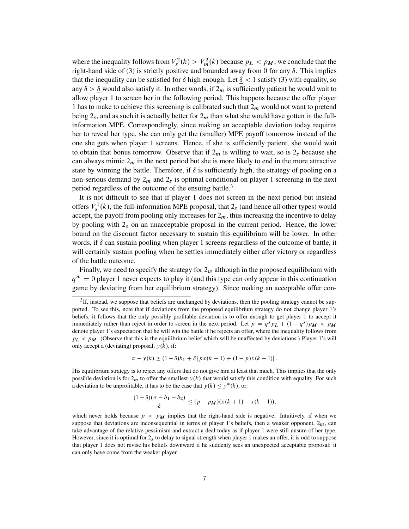where the inequality follows from  $V_s^2(k) > V_m^2(k)$  because  $p_L < p_M$ , we conclude that the right-hand side of (3) is strictly positive and bounded away from 0 for any  $\delta$ . This implies that the inequality can be satisfied for  $\delta$  high enough. Let  $\delta$  < 1 satisfy (3) with equality, so any  $\delta > \delta$  would also satisfy it. In other words, if  $2_m$  is sufficiently patient he would wait to allow player 1 to screen her in the following period. This happens because the offer player 1 has to make to achieve this screening is calibrated such that  $2<sub>m</sub>$  would not want to pretend being  $2<sub>s</sub>$ , and as such it is actually better for  $2<sub>m</sub>$  than what she would have gotten in the fullinformation MPE. Correspondingly, since making an acceptable deviation today requires her to reveal her type, she can only get the (smaller) MPE payoff tomorrow instead of the one she gets when player 1 screens. Hence, if she is sufficiently patient, she would wait to obtain that bonus tomorrow. Observe that if  $2<sub>m</sub>$  is willing to wait, so is  $2<sub>s</sub>$  because she can always mimic  $2<sub>m</sub>$  in the next period but she is more likely to end in the more attractive state by winning the battle. Therefore, if  $\delta$  is sufficiently high, the strategy of pooling on a non-serious demand by  $2<sub>m</sub>$  and  $2<sub>s</sub>$  is optimal conditional on player 1 screening in the next period regardless of the outcome of the ensuing battle.<sup>3</sup>

It is not difficult to see that if player 1 does not screen in the next period but instead offers  $V_s^1(k)$ , the full-information MPE proposal, that  $2_s$  (and hence all other types) would accept, the payoff from pooling only increases for  $2<sub>m</sub>$ , thus increasing the incentive to delay by pooling with  $2<sub>s</sub>$  on an unacceptable proposal in the current period. Hence, the lower bound on the discount factor necessary to sustain this equilibrium will be lower. In other words, if  $\delta$  can sustain pooling when player 1 screens regardless of the outcome of battle, it will certainly sustain pooling when he settles immediately either after victory or regardless of the battle outcome.

Finally, we need to specify the strategy for  $2<sub>w</sub>$  although in the proposed equilibrium with  $q^w = 0$  player 1 never expects to play it (and this type can only appear in this continuation game by deviating from her equilibrium strategy). Since making an acceptable offer con-

$$
\pi - y(k) \ge (1 - \delta)b_1 + \delta [p x(k + 1) + (1 - p)x(k - 1)].
$$

His equilibrium strategy is to reject any offers that do not give him at least that much. This implies that the only possible deviation is for  $2<sub>m</sub>$  to offer the smallest  $y(k)$  that would satisfy this condition with equality. For such a deviation to be unprofitable, it has to be the case that  $y(k) \leq y^*(k)$ , or:

$$
\frac{(1-\delta)(\pi - b_1 - b_2)}{\delta} \le (p - p_M)(x(k+1) - x(k-1)),
$$

 ${}^{3}$ If, instead, we suppose that beliefs are unchanged by deviations, then the pooling strategy cannot be supported. To see this, note that if deviations from the proposed equilibrium strategy do not change player 1's beliefs, it follows that the only possibly profitable deviation is to offer enough to get player 1 to accept it immediately rather than reject in order to screen in the next period. Let  $p = q^s pL + (1 - q^s)pM < pM$ denote player 1's expectation that he will win the battle if he rejects an offer, where the inequality follows from  $p_L < p_M$ . (Observe that this is the equilibrium belief which will be unaffected by deviations.) Player 1's will only accept a (deviating) proposal,  $y(k)$ , if:

which never holds because  $p < p_M$  implies that the right-hand side is negative. Intuitively, if when we suppose that deviations are inconsequential in terms of player 1's beliefs, then a weaker opponent,  $2<sub>m</sub>$ , can take advantage of the relative pessimism and extract a deal today as if player 1 were still unsure of her type. However, since it is optimal for  $2<sub>s</sub>$  to delay to signal strength when player 1 makes an offer, it is odd to suppose that player 1 does not revise his beliefs downward if he suddenly sees an unexpected acceptable proposal: it can only have come from the weaker player.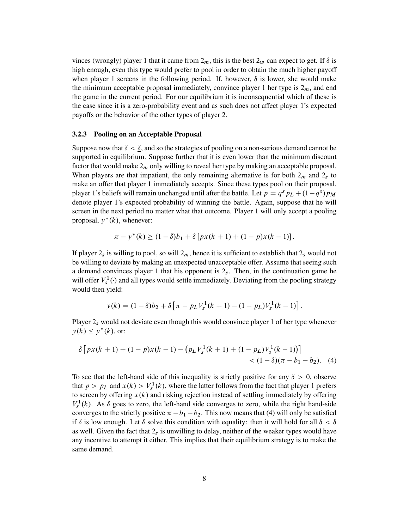vinces (wrongly) player 1 that it came from  $2<sub>m</sub>$ , this is the best  $2<sub>w</sub>$  can expect to get. If  $\delta$  is high enough, even this type would prefer to pool in order to obtain the much higher payoff when player 1 screens in the following period. If, however,  $\delta$  is lower, she would make the minimum acceptable proposal immediately, convince player 1 her type is  $2<sub>m</sub>$ , and end the game in the current period. For our equilibrium it is inconsequential which of these is the case since it is a zero-probability event and as such does not affect player 1's expected payoffs or the behavior of the other types of player 2.

#### **3.2.3 Pooling on an Acceptable Proposal**

Suppose now that  $\delta < \delta$ , and so the strategies of pooling on a non-serious demand cannot be supported in equilibrium. Suppose further that it is even lower than the minimum discount factor that would make  $2<sub>m</sub>$  only willing to reveal her type by making an acceptable proposal. When players are that impatient, the only remaining alternative is for both  $2<sub>m</sub>$  and  $2<sub>s</sub>$  to make an offer that player 1 immediately accepts. Since these types pool on their proposal, player 1's beliefs will remain unchanged until after the battle. Let  $p = q^s p_L + (1 - q^s)p_M$ denote player 1's expected probability of winning the battle. Again, suppose that he will screen in the next period no matter what that outcome. Player 1 will only accept a pooling proposal,  $y^*(k)$ , whenever:

$$
\pi - y^*(k) \ge (1 - \delta)b_1 + \delta [px(k+1) + (1 - p)x(k-1)].
$$

If player  $2_s$  is willing to pool, so will  $2_m$ , hence it is sufficient to establish that  $2_s$  would not be willing to deviate by making an unexpected unacceptable offer. Assume that seeing such a demand convinces player 1 that his opponent is  $2<sub>s</sub>$ . Then, in the continuation game he will offer  $V_s^1(\cdot)$  and all types would settle immediately. Deviating from the pooling strategy would then yield:

$$
y(k) = (1 - \delta)b_2 + \delta \left[ \pi - p_L V_s^1(k+1) - (1 - p_L) V_s^1(k-1) \right].
$$

Player  $2<sub>s</sub>$  would not deviate even though this would convince player 1 of her type whenever  $y(k) \leq y^*(k)$ , or:

$$
\delta \left[ px(k+1) + (1-p)x(k-1) - \left( p_L V_s^1(k+1) + (1-p_L) V_s^1(k-1) \right) \right] < (1-\delta)(\pi - b_1 - b_2).
$$
 (4)

To see that the left-hand side of this inequality is strictly positive for any  $\delta > 0$ , observe that  $p > p_L$  and  $x(k) > V_s^1(k)$ , where the latter follows from the fact that player 1 prefers to screen by offering  $x(k)$  and risking rejection instead of settling immediately by offering  $V_s^1(k)$ . As  $\delta$  goes to zero, the left-hand side converges to zero, while the right hand-side converges to the strictly positive  $\pi - b_1 - b_2$ . This now means that (4) will only be satisfied if  $\delta$  is low enough. Let  $\delta$  solve this condition with equality: then it will hold for all  $\delta < \delta$ as well. Given the fact that  $2<sub>s</sub>$  is unwilling to delay, neither of the weaker types would have any incentive to attempt it either. This implies that their equilibrium strategy is to make the same demand.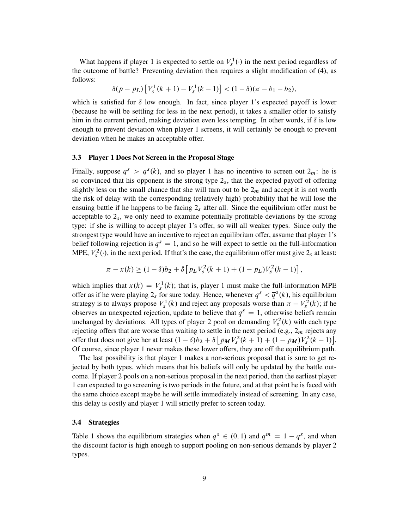What happens if player 1 is expected to settle on  $V_s^1(\cdot)$  in the next period regardless of the outcome of battle? Preventing deviation then requires a slight modification of (4), as follows:

$$
\delta(p - p_L) \left[ V_s^1(k+1) - V_s^1(k-1) \right] < (1 - \delta)(\pi - b_1 - b_2),
$$

which is satisfied for  $\delta$  low enough. In fact, since player 1's expected payoff is lower (because he will be settling for less in the next period), it takes a smaller offer to satisfy him in the current period, making deviation even less tempting. In other words, if  $\delta$  is low enough to prevent deviation when player 1 screens, it will certainly be enough to prevent deviation when he makes an acceptable offer.

#### **3.3 Player 1 Does Not Screen in the Proposal Stage**

Finally, suppose  $q^s > \overline{q}^s(k)$ , and so player 1 has no incentive to screen out  $2_m$ : he is so convinced that his opponent is the strong type  $2<sub>s</sub>$ , that the expected payoff of offering slightly less on the small chance that she will turn out to be  $2<sub>m</sub>$  and accept it is not worth the risk of delay with the corresponding (relatively high) probability that he will lose the ensuing battle if he happens to be facing  $2<sub>s</sub>$  after all. Since the equilibrium offer must be acceptable to  $2<sub>s</sub>$ , we only need to examine potentially profitable deviations by the strong type: if she is willing to accept player 1's offer, so will all weaker types. Since only the strongest type would have an incentive to reject an equilibrium offer, assume that player 1's belief following rejection is  $q<sup>s</sup> = 1$ , and so he will expect to settle on the full-information MPE,  $V_s^2(\cdot)$ , in the next period. If that's the case, the equilibrium offer must give  $2_s$  at least:

$$
\pi - x(k) \ge (1 - \delta)b_2 + \delta \left[ p_L V_s^2(k+1) + (1 - p_L) V_s^2(k-1) \right],
$$

which implies that  $x(k) = V_s^1(k)$ ; that is, player 1 must make the full-information MPE offer as if he were playing  $2_s$  for sure today. Hence, whenever  $q^s < \overline{q}^s(k)$ , his equilibrium strategy is to always propose  $V_s^1(k)$  and reject any proposals worse than  $\pi - V_s^2(k)$ ; if he observes an unexpected rejection, update to believe that  $q<sup>s</sup> = 1$ , otherwise beliefs remain unchanged by deviations. All types of player 2 pool on demanding  $V_s^2(k)$  with each type rejecting offers that are worse than waiting to settle in the next period (e.g.,  $2<sub>m</sub>$  rejects any offer that does not give her at least  $(1 - \delta)b_2 + \delta [p_M V_s^2(k+1) + (1 - p_M)V_s^2(k-1)].$ Of course, since player 1 never makes these lower offers, they are off the equilibrium path.

The last possibility is that player 1 makes a non-serious proposal that is sure to get rejected by both types, which means that his beliefs will only be updated by the battle outcome. If player 2 pools on a non-serious proposal in the next period, then the earliest player 1 can expected to go screening is two periods in the future, and at that point he is faced with the same choice except maybe he will settle immediately instead of screening. In any case, this delay is costly and player 1 will strictly prefer to screen today.

#### **3.4 Strategies**

Table 1 shows the equilibrium strategies when  $q^s \in (0, 1)$  and  $q^m = 1 - q^s$ , and when the discount factor is high enough to support pooling on non-serious demands by player 2 types.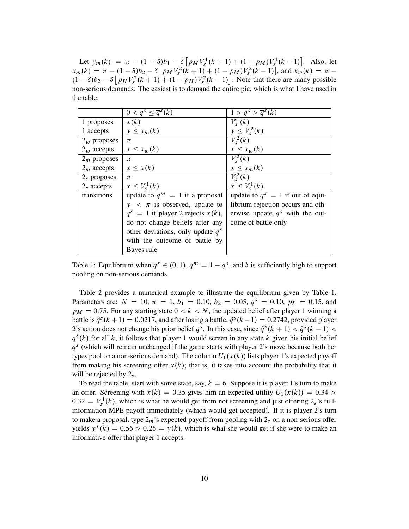Let  $y_m(k) = \pi - (1 - \delta)b_1 - \delta[p_M V_s^1(k+1) + (1 - p_M) V_s^1(k-1)].$  Also, let  $x_m(k) = \pi - (1 - \delta)b_2 - \delta \left[ p_M V_s^2(k+1) + (1 - p_M)V_s^2(k-1) \right]$ , and  $x_w(k) = \pi (1 - \delta)b_2 - \delta \left[ p_H V_s^2(k+1) + (1 - p_H) V_s^2(k-1) \right]$ . Note that there are many possible non-serious demands. The easiest is to demand the entire pie, which is what I have used in the table.

|                | $\overline{0 < q^s \leq \overline{q}^s(k)}$ | $\overline{1 > q^s > \overline{q}^s(k)}$ |  |  |
|----------------|---------------------------------------------|------------------------------------------|--|--|
| 1 proposes     | x(k)                                        | $V^1_{s}(k)$                             |  |  |
| 1 accepts      | $y \leq y_m(k)$                             | $y \leq V_s^2(k)$                        |  |  |
| $2_w$ proposes | $\pi$                                       | $V^2_{s}(k)$                             |  |  |
| $2_w$ accepts  | $x \leq x_w(k)$                             | $x \leq x_w(k)$                          |  |  |
| $2m$ proposes  | $\pi$                                       | $V_{s}^{2}(k)$                           |  |  |
| $2m$ accepts   | $x \leq x(k)$                               | $x \leq x_m(k)$                          |  |  |
| $2s$ proposes  | $\pi$                                       | $V_s^2(k)$                               |  |  |
| $2s$ accepts   | $x \leq V_s^1(k)$                           | $x \leq V_s^1(k)$                        |  |  |
| transitions    | update to $q^m = 1$ if a proposal           | update to $q^s = 1$ if out of equi-      |  |  |
|                | $y \leq \pi$ is observed, update to         | librium rejection occurs and oth-        |  |  |
|                | $q^s = 1$ if player 2 rejects $x(k)$ ,      | erwise update $q^s$ with the out-        |  |  |
|                | do not change beliefs after any             | come of battle only                      |  |  |
|                | other deviations, only update $q^s$         |                                          |  |  |
|                | with the outcome of battle by               |                                          |  |  |
|                | Bayes rule                                  |                                          |  |  |

Table 1: Equilibrium when  $q^s \in (0, 1)$ ,  $q^m = 1 - q^s$ , and  $\delta$  is sufficiently high to support pooling on non-serious demands.

Table 2 provides a numerical example to illustrate the equilibrium given by Table 1. Parameters are:  $N = 10, \pi = 1, b_1 = 0.10, b_2 = 0.05, q<sup>s</sup> = 0.10, p<sub>L</sub> = 0.15,$  and  $p_M = 0.75$ . For any starting state  $0 < k < N$ , the updated belief after player 1 winning a battle is  $\hat{q}^s(k+1) = 0.0217$ , and after losing a battle,  $\hat{q}^s(k-1) = 0.2742$ , provided player 2's action does not change his prior belief  $q^s$ . In this case, since  $\hat{q}^s(k + 1) < \hat{q}^s(k - 1)$  $\overline{q}^{s}(k)$  for all k, it follows that player 1 would screen in any state k given his initial belief  $q<sup>s</sup>$  (which will remain unchanged if the game starts with player 2's move because both her types pool on a non-serious demand). The column  $U_1(x(k))$  lists player 1's expected payoff from making his screening offer  $x(k)$ ; that is, it takes into account the probability that it will be rejected by  $2<sub>s</sub>$ .

To read the table, start with some state, say,  $k = 6$ . Suppose it is player 1's turn to make an offer. Screening with  $x(k) = 0.35$  gives him an expected utility  $U_1(x(k)) = 0.34$  $0.32 = V_s^1(k)$ , which is what he would get from not screening and just offering  $2_s$ 's fullinformation MPE payoff immediately (which would get accepted). If it is player 2's turn to make a proposal, type  $2<sub>m</sub>$ 's expected payoff from pooling with  $2<sub>s</sub>$  on a non-serious offer yields  $y^*(k) = 0.56 > 0.26 = y(k)$ , which is what she would get if she were to make an informative offer that player 1 accepts.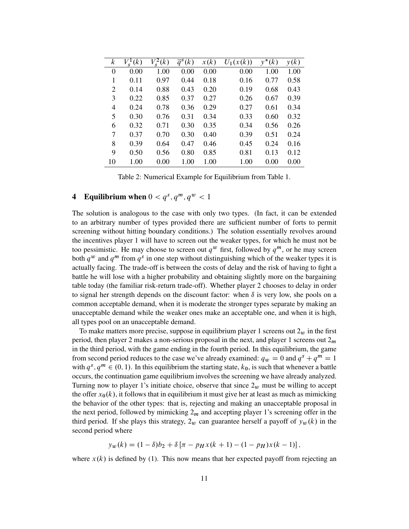| $\mathcal{k}$ | (k)  | $V_s^2(k)$ | $\overline{q}^s(k)$ | x(k) | $U_1(x(k))$ | $y^*(k)$ | y(k) |
|---------------|------|------------|---------------------|------|-------------|----------|------|
| 0             | 0.00 | 1.00       | 0.00                | 0.00 | 0.00        | 1.00     | 1.00 |
| 1             | 0.11 | 0.97       | 0.44                | 0.18 | 0.16        | 0.77     | 0.58 |
| 2             | 0.14 | 0.88       | 0.43                | 0.20 | 0.19        | 0.68     | 0.43 |
| 3             | 0.22 | 0.85       | 0.37                | 0.27 | 0.26        | 0.67     | 0.39 |
| 4             | 0.24 | 0.78       | 0.36                | 0.29 | 0.27        | 0.61     | 0.34 |
| 5             | 0.30 | 0.76       | 0.31                | 0.34 | 0.33        | 0.60     | 0.32 |
| 6             | 0.32 | 0.71       | 0.30                | 0.35 | 0.34        | 0.56     | 0.26 |
| 7             | 0.37 | 0.70       | 0.30                | 0.40 | 0.39        | 0.51     | 0.24 |
| 8             | 0.39 | 0.64       | 0.47                | 0.46 | 0.45        | 0.24     | 0.16 |
| 9             | 0.50 | 0.56       | 0.80                | 0.85 | 0.81        | 0.13     | 0.12 |
| 10            | 1.00 | 0.00       | 1.00                | 1.00 | 1.00        | 0.00     | 0.00 |

Table 2: Numerical Example for Equilibrium from Table 1.

# **4** Equilibrium when  $0 < q^s, q^m, q^w < 1$

The solution is analogous to the case with only two types. (In fact, it can be extended to an arbitrary number of types provided there are sufficient number of forts to permit screening without hitting boundary conditions.) The solution essentially revolves around the incentives player 1 will have to screen out the weaker types, for which he must not be too pessimistic. He may choose to screen out  $q^w$  first, followed by  $q^m$ , or he may screen both  $q^w$  and  $q^m$  from  $q^s$  in one step without distinguishing which of the weaker types it is actually facing. The trade-off is between the costs of delay and the risk of having to fight a battle he will lose with a higher probability and obtaining slightly more on the bargaining table today (the familiar risk-return trade-off). Whether player 2 chooses to delay in order to signal her strength depends on the discount factor: when  $\delta$  is very low, she pools on a common acceptable demand, when it is moderate the stronger types separate by making an unacceptable demand while the weaker ones make an acceptable one, and when it is high, all types pool on an unacceptable demand.

To make matters more precise, suppose in equilibrium player 1 screens out  $2<sub>w</sub>$  in the first period, then player 2 makes a non-serious proposal in the next, and player 1 screens out  $2<sub>m</sub>$ in the third period, with the game ending in the fourth period. In this equilibrium, the game from second period reduces to the case we've already examined:  $q_w = 0$  and  $q^s + q^m = 1$ with  $q^{s}$ ,  $q^{m} \in (0, 1)$ . In this equilibrium the starting state,  $k_0$ , is such that whenever a battle occurs, the continuation game equilibrium involves the screening we have already analyzed. Turning now to player 1's initiate choice, observe that since  $2<sub>w</sub>$  must be willing to accept the offer  $x_0(k)$ , it follows that in equilibrium it must give her at least as much as mimicking the behavior of the other types: that is, rejecting and making an unacceptable proposal in the next period, followed by mimicking  $2<sub>m</sub>$  and accepting player 1's screening offer in the third period. If she plays this strategy,  $2_w$  can guarantee herself a payoff of  $y_w(k)$  in the second period where

$$
y_w(k) = (1 - \delta)b_2 + \delta[\pi - p_H x(k + 1) - (1 - p_H)x(k - 1)],
$$

where  $x(k)$  is defined by (1). This now means that her expected payoff from rejecting an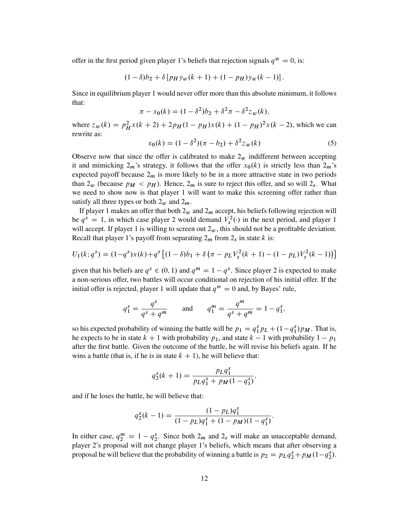offer in the first period given player 1's beliefs that rejection signals  $q^w = 0$ , is:

$$
(1 - \delta)b_2 + \delta [p_H y_w(k + 1) + (1 - p_H)y_w(k - 1)].
$$

Since in equilibrium player 1 would never offer more than this absolute minimum, it follows that:

$$
\pi - x_0(k) = (1 - \delta^2)b_2 + \delta^2 \pi - \delta^2 z_w(k),
$$

where  $z_w(k) = p_H^2 x(k + 2) + 2p_H(1 - p_H)x(k) + (1 - p_H)^2 x(k - 2)$ , which we can rewrite as:

$$
x_0(k) = (1 - \delta^2)(\pi - b_2) + \delta^2 z_w(k)
$$
 (5)

Observe now that since the offer is calibrated to make  $2<sub>w</sub>$  indifferent between accepting it and mimicking  $2_m$ 's strategy, it follows that the offer  $x_0(k)$  is strictly less than  $2_m$ 's expected payoff because  $2<sub>m</sub>$  is more likely to be in a more attractive state in two periods than  $2_w$  (because  $p_M < p_H$ ). Hence,  $2_m$  is sure to reject this offer, and so will  $2_s$ . What we need to show now is that player 1 will want to make this screening offer rather than satisfy all three types or both  $2_w$  and  $2_m$ .

If player 1 makes an offer that both  $2_w$  and  $2_m$  accept, his beliefs following rejection will be  $q^s = 1$ , in which case player 2 would demand  $V_s^2(\cdot)$  in the next period, and player 1 will accept. If player 1 is willing to screen out  $2<sub>w</sub>$ , this should not be a profitable deviation. Recall that player 1's payoff from separating  $2<sub>m</sub>$  from  $2<sub>s</sub>$  in state k is:

$$
U_1(k;q^s) = (1-q^s)x(k) + q^s [(1-\delta)b_1 + \delta(\pi - p_L V_s^2(k+1) - (1-p_L)V_s^2(k-1))]
$$

given that his beliefs are  $q^s \in (0, 1)$  and  $q^m = 1 - q^s$ . Since player 2 is expected to make a non-serious offer, two battles will occur conditional on rejection of his initial offer. If the initial offer is rejected, player 1 will update that  $q^w = 0$  and, by Bayes' rule,

$$
q_1^s = \frac{q^s}{q^s + q^m}
$$
 and  $q_1^m = \frac{q^m}{q^s + q^m} = 1 - q_1^s$ ,

so his expected probability of winning the battle will be  $p_1 = q_1^s p_L + (1 - q_1^s) p_M$ . That is, he expects to be in state  $k + 1$  with probability  $p_1$ , and state  $k - 1$  with probability  $1 - p_1$ after the first battle. Given the outcome of the battle, he will revise his beliefs again. If he wins a battle (that is, if he is in state  $k + 1$ ), he will believe that:

$$
q_2^s(k+1) = \frac{p_L q_1^s}{p_L q_1^s + p_M (1 - q_1^s)},
$$

and if he loses the battle, he will believe that:

$$
q_2^s(k-1) = \frac{(1 - p_L)q_1^s}{(1 - p_L)q_1^s + (1 - p_M)(1 - q_1^s)}.
$$

In either case,  $q_2^m = 1 - q_2^s$ . Since both  $2_m$  and  $2_s$  will make an unacceptable demand, player 2's proposal will not change player 1's beliefs, which means that after observing a proposal he will believe that the probability of winning a battle is  $p_2 = p_L q_2^s + p_M (1 - q_2^s)$ .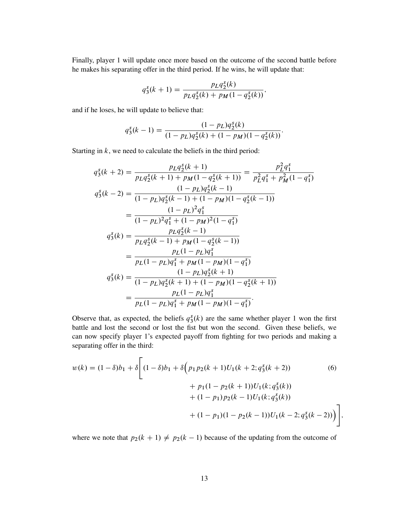Finally, player 1 will update once more based on the outcome of the second battle before he makes his separating offer in the third period. If he wins, he will update that:

$$
q_3^s(k+1) = \frac{p_L q_2^s(k)}{p_L q_2^s(k) + p_M(1 - q_2^s(k))},
$$

and if he loses, he will update to believe that:

$$
q_3^s(k-1) = \frac{(1 - p_L)q_2^s(k)}{(1 - p_L)q_2^s(k) + (1 - p_M)(1 - q_2^s(k))}.
$$

Starting in  $k$ , we need to calculate the beliefs in the third period:

$$
q_{3}^{s}(k+2) = \frac{p_{L}q_{2}^{s}(k+1)}{p_{L}q_{2}^{s}(k+1) + p_{M}(1 - q_{2}^{s}(k+1))} = \frac{p_{L}^{2}q_{1}^{s}}{p_{L}^{2}q_{1}^{s} + p_{M}^{2}(1 - q_{1}^{s})}
$$
  
\n
$$
q_{3}^{s}(k-2) = \frac{(1 - p_{L})q_{2}^{s}(k-1)}{(1 - p_{L})q_{2}^{s}(k-1) + (1 - p_{M})(1 - q_{2}^{s}(k-1))}
$$
  
\n
$$
= \frac{(1 - p_{L})^{2}q_{1}^{s}}{(1 - p_{L})^{2}q_{1}^{s} + (1 - p_{M})^{2}(1 - q_{1}^{s})}
$$
  
\n
$$
q_{3}^{s}(k) = \frac{p_{L}q_{2}^{s}(k-1)}{p_{L}q_{2}^{s}(k-1) + p_{M}(1 - q_{2}^{s}(k-1))}
$$
  
\n
$$
= \frac{p_{L}(1 - p_{L})q_{1}^{s}}{p_{L}(1 - p_{L})q_{1}^{s} + p_{M}(1 - p_{M})(1 - q_{1}^{s})}
$$
  
\n
$$
q_{3}^{s}(k) = \frac{(1 - p_{L})q_{2}^{s}(k+1)}{(1 - p_{L})q_{2}^{s}(k+1) + (1 - p_{M})(1 - q_{2}^{s}(k+1))}
$$
  
\n
$$
= \frac{p_{L}(1 - p_{L})q_{1}^{s}}{p_{L}(1 - p_{L})q_{1}^{s} + p_{M}(1 - p_{M})(1 - q_{1}^{s})}.
$$

Observe that, as expected, the beliefs  $q_3^s(k)$  are the same whether player 1 won the first battle and lost the second or lost the fist but won the second. Given these beliefs, we can now specify player 1's expected payoff from fighting for two periods and making a separating offer in the third:

$$
w(k) = (1 - \delta)b_1 + \delta \left[ (1 - \delta)b_1 + \delta \left( p_1 p_2(k+1)U_1(k+2; q_3^s(k+2)) + p_1(1 - p_2(k+1))U_1(k; q_3^s(k)) + (1 - p_1)p_2(k-1)U_1(k; q_3^s(k)) + (1 - p_1)(1 - p_2(k-1))U_1(k-2; q_3^s(k-2)) \right) \right],
$$
\n
$$
(6)
$$

where we note that  $p_2(k + 1) \neq p_2(k - 1)$  because of the updating from the outcome of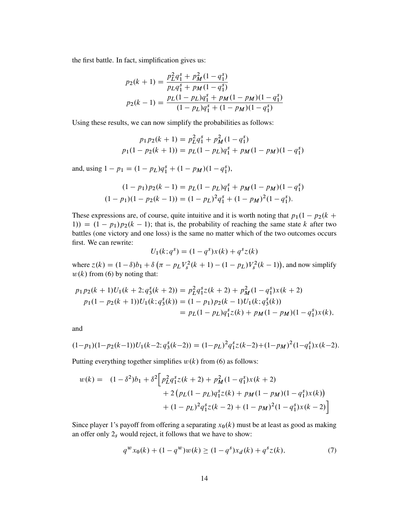the first battle. In fact, simplification gives us:

$$
p_2(k+1) = \frac{p_L^2 q_1^s + p_M^2 (1 - q_1^s)}{p_L q_1^s + p_M (1 - q_1^s)}
$$
  

$$
p_2(k-1) = \frac{p_L (1 - p_L) q_1^s + p_M (1 - p_M) (1 - q_1^s)}{(1 - p_L) q_1^s + (1 - p_M) (1 - q_1^s)}
$$

Using these results, we can now simplify the probabilities as follows:

$$
p_1 p_2(k+1) = p_L^2 q_1^s + p_M^2 (1 - q_1^s)
$$
  

$$
p_1(1 - p_2(k+1)) = p_L(1 - p_L)q_1^s + p_M(1 - p_M)(1 - q_1^s)
$$

and, using  $1 - p_1 = (1 - p_L)q_1^s + (1 - p_M)(1 - q_1^s)$ ,

$$
(1 - p_1)p_2(k - 1) = p_L(1 - p_L)q_1^s + p_M(1 - p_M)(1 - q_1^s)
$$

$$
(1 - p_1)(1 - p_2(k - 1)) = (1 - p_L)^2 q_1^s + (1 - p_M)^2 (1 - q_1^s).
$$

These expressions are, of course, quite intuitive and it is worth noting that  $p_1(1 - p_2(k +$ 1)) =  $(1 - p_1)p_2(k - 1)$ ; that is, the probability of reaching the same state k after two battles (one victory and one loss) is the same no matter which of the two outcomes occurs first. We can rewrite:

$$
U_1(k; q^s) = (1 - q^s)x(k) + q^s z(k)
$$

where  $z(k) = (1 - \delta)b_1 + \delta(\pi - p_L V_s^2(k + 1) - (1 - p_L) V_s^2(k - 1))$ , and now simplify  $w(k)$  from (6) by noting that:

$$
p_1 p_2(k+1)U_1(k+2; q_3^s(k+2)) = p_L^2 q_1^s z(k+2) + p_M^2 (1 - q_1^s) x(k+2)
$$
  
\n
$$
p_1(1 - p_2(k+1))U_1(k; q_3^s(k)) = (1 - p_1)p_2(k-1)U_1(k; q_3^s(k))
$$
  
\n
$$
= p_L(1 - p_L)q_1^s z(k) + p_M(1 - p_M)(1 - q_1^s) x(k),
$$

and

$$
(1-p_1)(1-p_2(k-1))U_1(k-2;q_3^s(k-2)) = (1-p_L)^2 q_1^s z(k-2) + (1-p_M)^2 (1-q_1^s)x(k-2).
$$

Putting everything together simplifies  $w(k)$  from (6) as follows:

$$
w(k) = (1 - \delta^2)b_1 + \delta^2 \Big[ p_L^2 q_1^s z(k+2) + p_M^2 (1 - q_1^s) x(k+2) + 2 (p_L(1 - p_L) q_1^s z(k) + p_M(1 - p_M)(1 - q_1^s) x(k)) + (1 - p_L)^2 q_1^s z(k-2) + (1 - p_M)^2 (1 - q_1^s) x(k-2) \Big]
$$

Since player 1's payoff from offering a separating  $x_0(k)$  must be at least as good as making an offer only  $2<sub>s</sub>$  would reject, it follows that we have to show:

$$
q^{w}x_0(k) + (1 - q^{w})w(k) \ge (1 - q^{s})x_d(k) + q^{s}z(k),
$$
\n(7)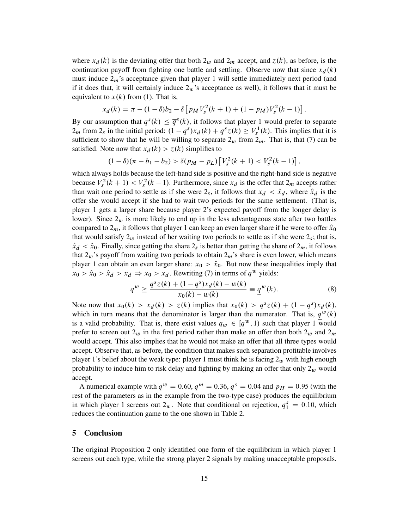where  $x_d(k)$  is the deviating offer that both  $2_w$  and  $2_m$  accept, and  $z(k)$ , as before, is the continuation payoff from fighting one battle and settling. Observe now that since  $x_d(k)$ must induce  $2<sub>m</sub>$ 's acceptance given that player 1 will settle immediately next period (and if it does that, it will certainly induce  $2<sub>w</sub>$ 's acceptance as well), it follows that it must be equivalent to  $x(k)$  from (1). That is,

$$
x_d(k) = \pi - (1 - \delta)b_2 - \delta \left[ p_M V_s^2(k+1) + (1 - p_M) V_s^2(k-1) \right].
$$

By our assumption that  $q^{s}(k) \leq \overline{q}^{s}(k)$ , it follows that player 1 would prefer to separate  $2_m$  from  $2_s$  in the initial period:  $(1 - q^s)x_d(k) + q^s z(k) \ge V_s^1(k)$ . This implies that it is sufficient to show that he will be willing to separate  $2<sub>w</sub>$  from  $2<sub>m</sub>$ . That is, that (7) can be satisfied. Note now that  $x_d(k) > z(k)$  simplifies to

$$
(1 - \delta)(\pi - b_1 - b_2) > \delta(p_M - p_L) \left[ V_s^2(k + 1) < V_s^2(k - 1) \right],
$$

which always holds because the left-hand side is positive and the right-hand side is negative because  $V_s^2(k + 1) < V_s^2(k - 1)$ . Furthermore, since  $x_d$  is the offer that  $2_m$  accepts rather than wait one period to settle as if she were  $2<sub>s</sub>$ , it follows that  $x<sub>d</sub> < \hat{x}<sub>d</sub>$ , where  $\hat{x}<sub>d</sub>$  is the offer she would accept if she had to wait two periods for the same settlement. (That is, player 1 gets a larger share because player 2's expected payoff from the longer delay is lower). Since  $2<sub>w</sub>$  is more likely to end up in the less advantageous state after two battles compared to  $2<sub>m</sub>$ , it follows that player 1 can keep an even larger share if he were to offer  $\hat{x}_0$ that would satisfy  $2_w$  instead of her waiting two periods to settle as if she were  $2_s$ ; that is,  $\hat{x}_d < \hat{x}_0$ . Finally, since getting the share  $2_s$  is better than getting the share of  $2_m$ , it follows that  $2<sub>w</sub>$ 's payoff from waiting two periods to obtain  $2<sub>m</sub>$ 's share is even lower, which means player 1 can obtain an even larger share:  $x_0 > \hat{x}_0$ . But now these inequalities imply that  $x_0 > \hat{x}_0 > \hat{x}_d > x_d \Rightarrow x_0 > x_d$ . Rewriting (7) in terms of  $q^w$  yields:

$$
q^{w} \ge \frac{q^{s}z(k) + (1 - q^{s})x_{d}(k) - w(k)}{x_{0}(k) - w(k)} \equiv \underline{q}^{w}(k).
$$
 (8)

Note now that  $x_0(k) > x_d(k) > z(k)$  implies that  $x_0(k) > q^s z(k) + (1 - q^s)x_d(k)$ , which in turn means that the denominator is larger than the numerator. That is,  $q^w(k)$ is a valid probability. That is, there exist values  $q_w \in [q^w, 1)$  such that player 1 would prefer to screen out  $2_w$  in the first period rather than make an offer than both  $2_w$  and  $2_m$ would accept. This also implies that he would not make an offer that all three types would accept. Observe that, as before, the condition that makes such separation profitable involves player 1's belief about the weak type: player 1 must think he is facing  $2_w$  with high enough probability to induce him to risk delay and fighting by making an offer that only  $2_w$  would accept.

A numerical example with  $q^w = 0.60$ ,  $q^m = 0.36$ ,  $q^s = 0.04$  and  $p_H = 0.95$  (with the rest of the parameters as in the example from the two-type case) produces the equilibrium in which player 1 screens out  $2_w$ . Note that conditional on rejection,  $q_1^s = 0.10$ , which reduces the continuation game to the one shown in Table 2.

#### **5 Conclusion**

The original Proposition 2 only identified one form of the equilibrium in which player 1 screens out each type, while the strong player 2 signals by making unacceptable proposals.